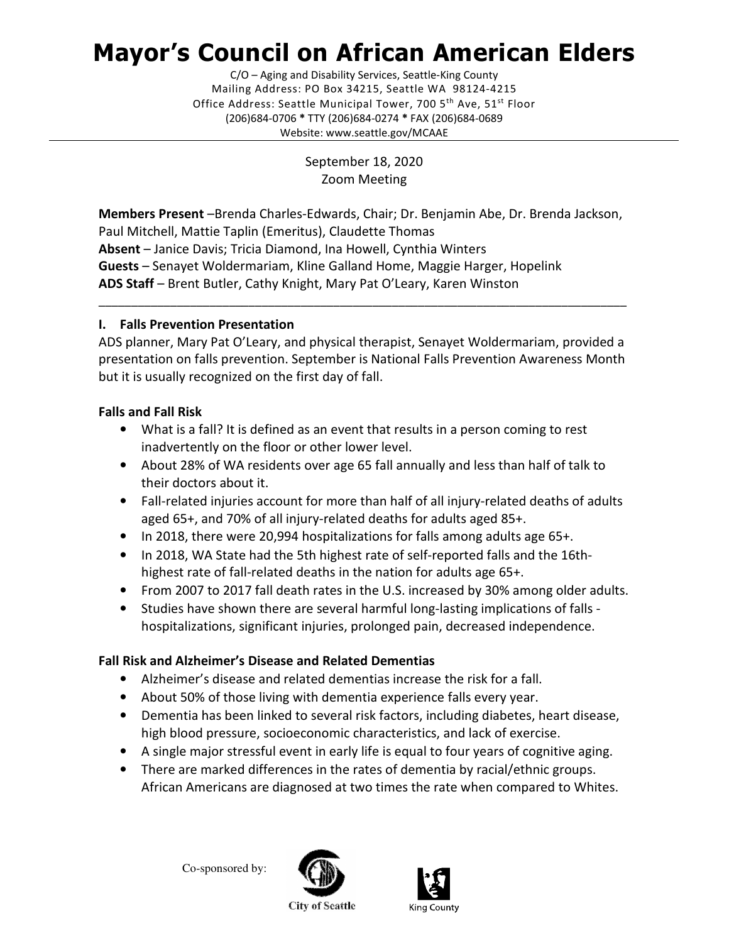# Mayor's Council on African American Elders

C/O – Aging and Disability Services, Seattle-King County Mailing Address: PO Box 34215, Seattle WA 98124-4215 Office Address: Seattle Municipal Tower, 700 5<sup>th</sup> Ave, 51<sup>st</sup> Floor (206)684-0706 \* TTY (206)684-0274 \* FAX (206)684-0689 Website: www.seattle.gov/MCAAE

> September 18, 2020 Zoom Meeting

Members Present –Brenda Charles-Edwards, Chair; Dr. Benjamin Abe, Dr. Brenda Jackson, Paul Mitchell, Mattie Taplin (Emeritus), Claudette Thomas Absent – Janice Davis; Tricia Diamond, Ina Howell, Cynthia Winters Guests – Senayet Woldermariam, Kline Galland Home, Maggie Harger, Hopelink ADS Staff – Brent Butler, Cathy Knight, Mary Pat O'Leary, Karen Winston

# I. Falls Prevention Presentation

ADS planner, Mary Pat O'Leary, and physical therapist, Senayet Woldermariam, provided a presentation on falls prevention. September is National Falls Prevention Awareness Month but it is usually recognized on the first day of fall.

\_\_\_\_\_\_\_\_\_\_\_\_\_\_\_\_\_\_\_\_\_\_\_\_\_\_\_\_\_\_\_\_\_\_\_\_\_\_\_\_\_\_\_\_\_\_\_\_\_\_\_\_\_\_\_\_\_\_\_\_\_\_\_\_\_\_\_\_\_\_\_\_\_\_\_\_\_\_\_\_\_

# Falls and Fall Risk

- What is a fall? It is defined as an event that results in a person coming to rest inadvertently on the floor or other lower level.
- About 28% of WA residents over age 65 fall annually and less than half of talk to their doctors about it.
- Fall-related injuries account for more than half of all injury-related deaths of adults aged 65+, and 70% of all injury-related deaths for adults aged 85+.
- In 2018, there were 20,994 hospitalizations for falls among adults age 65+.
- In 2018, WA State had the 5th highest rate of self-reported falls and the 16thhighest rate of fall-related deaths in the nation for adults age 65+.
- From 2007 to 2017 fall death rates in the U.S. increased by 30% among older adults.
- Studies have shown there are several harmful long-lasting implications of falls hospitalizations, significant injuries, prolonged pain, decreased independence.

# Fall Risk and Alzheimer's Disease and Related Dementias

- Alzheimer's disease and related dementias increase the risk for a fall.
- About 50% of those living with dementia experience falls every year.
- Dementia has been linked to several risk factors, including diabetes, heart disease, high blood pressure, socioeconomic characteristics, and lack of exercise.
- A single major stressful event in early life is equal to four years of cognitive aging.
- There are marked differences in the rates of dementia by racial/ethnic groups. African Americans are diagnosed at two times the rate when compared to Whites.

Co-sponsored by:





**City of Seattle**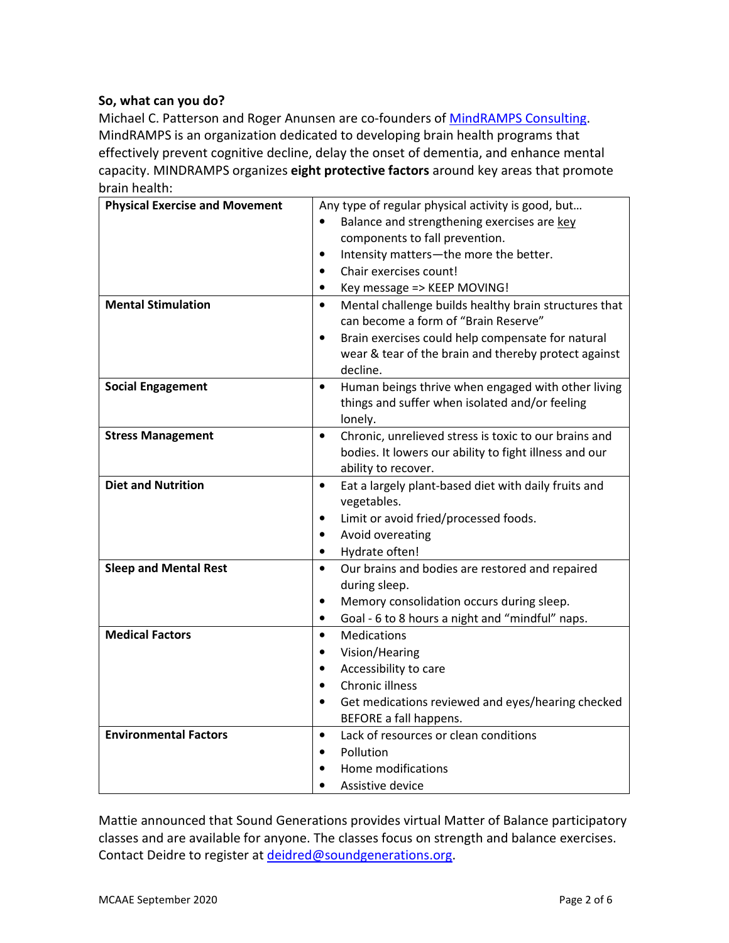# So, what can you do?

Michael C. Patterson and Roger Anunsen are co-founders of MindRAMPS Consulting. MindRAMPS is an organization dedicated to developing brain health programs that effectively prevent cognitive decline, delay the onset of dementia, and enhance mental capacity. MINDRAMPS organizes eight protective factors around key areas that promote brain health:

| <b>Physical Exercise and Movement</b> | Any type of regular physical activity is good, but                 |
|---------------------------------------|--------------------------------------------------------------------|
|                                       | Balance and strengthening exercises are key                        |
|                                       | components to fall prevention.                                     |
|                                       | Intensity matters-the more the better.<br>$\bullet$                |
|                                       | Chair exercises count!<br>$\bullet$                                |
|                                       | Key message => KEEP MOVING!<br>$\bullet$                           |
| <b>Mental Stimulation</b>             | Mental challenge builds healthy brain structures that<br>$\bullet$ |
|                                       | can become a form of "Brain Reserve"                               |
|                                       | Brain exercises could help compensate for natural<br>$\bullet$     |
|                                       | wear & tear of the brain and thereby protect against               |
|                                       | decline.                                                           |
| <b>Social Engagement</b>              | Human beings thrive when engaged with other living<br>$\bullet$    |
|                                       | things and suffer when isolated and/or feeling                     |
|                                       | lonely.                                                            |
| <b>Stress Management</b>              | Chronic, unrelieved stress is toxic to our brains and<br>$\bullet$ |
|                                       | bodies. It lowers our ability to fight illness and our             |
|                                       | ability to recover.                                                |
| <b>Diet and Nutrition</b>             | Eat a largely plant-based diet with daily fruits and<br>$\bullet$  |
|                                       | vegetables.                                                        |
|                                       | Limit or avoid fried/processed foods.<br>$\bullet$                 |
|                                       | Avoid overeating<br>$\bullet$                                      |
|                                       | Hydrate often!<br>$\bullet$                                        |
| <b>Sleep and Mental Rest</b>          | Our brains and bodies are restored and repaired<br>$\bullet$       |
|                                       | during sleep.                                                      |
|                                       | Memory consolidation occurs during sleep.<br>$\bullet$             |
|                                       | Goal - 6 to 8 hours a night and "mindful" naps.<br>$\bullet$       |
| <b>Medical Factors</b>                | Medications<br>$\bullet$                                           |
|                                       | Vision/Hearing<br>$\bullet$                                        |
|                                       | Accessibility to care<br>$\bullet$                                 |
|                                       | <b>Chronic illness</b><br>$\bullet$                                |
|                                       | Get medications reviewed and eyes/hearing checked<br>$\bullet$     |
|                                       | BEFORE a fall happens.                                             |
| <b>Environmental Factors</b>          | Lack of resources or clean conditions<br>$\bullet$                 |
|                                       | Pollution<br>$\bullet$                                             |
|                                       | Home modifications                                                 |
|                                       | Assistive device                                                   |

Mattie announced that Sound Generations provides virtual Matter of Balance participatory classes and are available for anyone. The classes focus on strength and balance exercises. Contact Deidre to register at deidred@soundgenerations.org.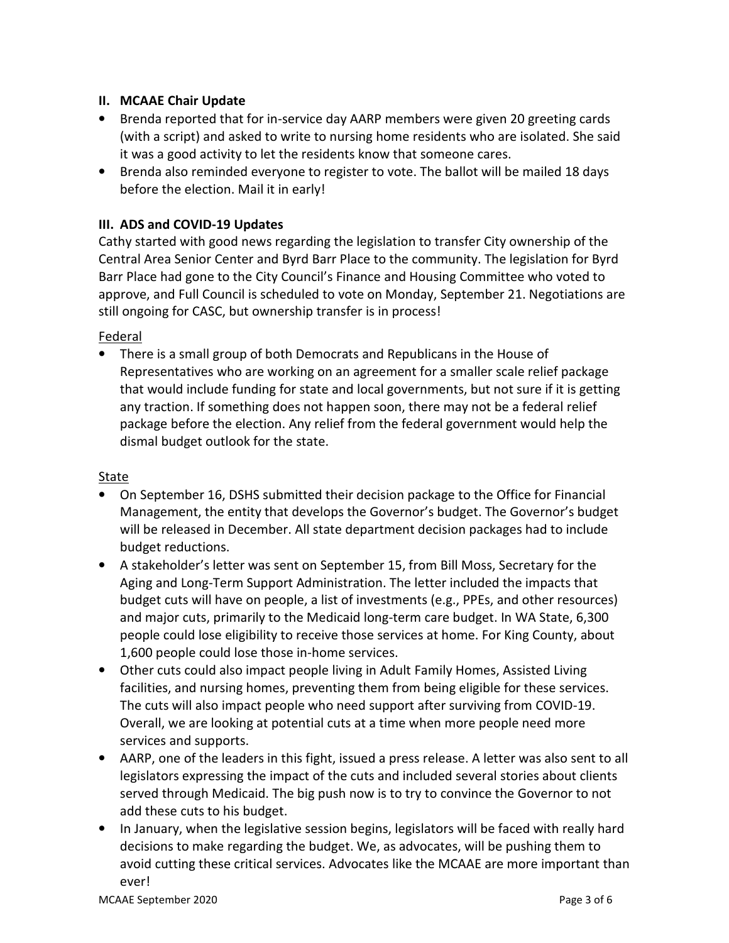## II. MCAAE Chair Update

- Brenda reported that for in-service day AARP members were given 20 greeting cards (with a script) and asked to write to nursing home residents who are isolated. She said it was a good activity to let the residents know that someone cares.
- Brenda also reminded everyone to register to vote. The ballot will be mailed 18 days before the election. Mail it in early!

# III. ADS and COVID-19 Updates

Cathy started with good news regarding the legislation to transfer City ownership of the Central Area Senior Center and Byrd Barr Place to the community. The legislation for Byrd Barr Place had gone to the City Council's Finance and Housing Committee who voted to approve, and Full Council is scheduled to vote on Monday, September 21. Negotiations are still ongoing for CASC, but ownership transfer is in process!

## Federal

• There is a small group of both Democrats and Republicans in the House of Representatives who are working on an agreement for a smaller scale relief package that would include funding for state and local governments, but not sure if it is getting any traction. If something does not happen soon, there may not be a federal relief package before the election. Any relief from the federal government would help the dismal budget outlook for the state.

#### State

- On September 16, DSHS submitted their decision package to the Office for Financial Management, the entity that develops the Governor's budget. The Governor's budget will be released in December. All state department decision packages had to include budget reductions.
- A stakeholder's letter was sent on September 15, from Bill Moss, Secretary for the Aging and Long-Term Support Administration. The letter included the impacts that budget cuts will have on people, a list of investments (e.g., PPEs, and other resources) and major cuts, primarily to the Medicaid long-term care budget. In WA State, 6,300 people could lose eligibility to receive those services at home. For King County, about 1,600 people could lose those in-home services.
- Other cuts could also impact people living in Adult Family Homes, Assisted Living facilities, and nursing homes, preventing them from being eligible for these services. The cuts will also impact people who need support after surviving from COVID-19. Overall, we are looking at potential cuts at a time when more people need more services and supports.
- AARP, one of the leaders in this fight, issued a press release. A letter was also sent to all legislators expressing the impact of the cuts and included several stories about clients served through Medicaid. The big push now is to try to convince the Governor to not add these cuts to his budget.
- In January, when the legislative session begins, legislators will be faced with really hard decisions to make regarding the budget. We, as advocates, will be pushing them to avoid cutting these critical services. Advocates like the MCAAE are more important than ever!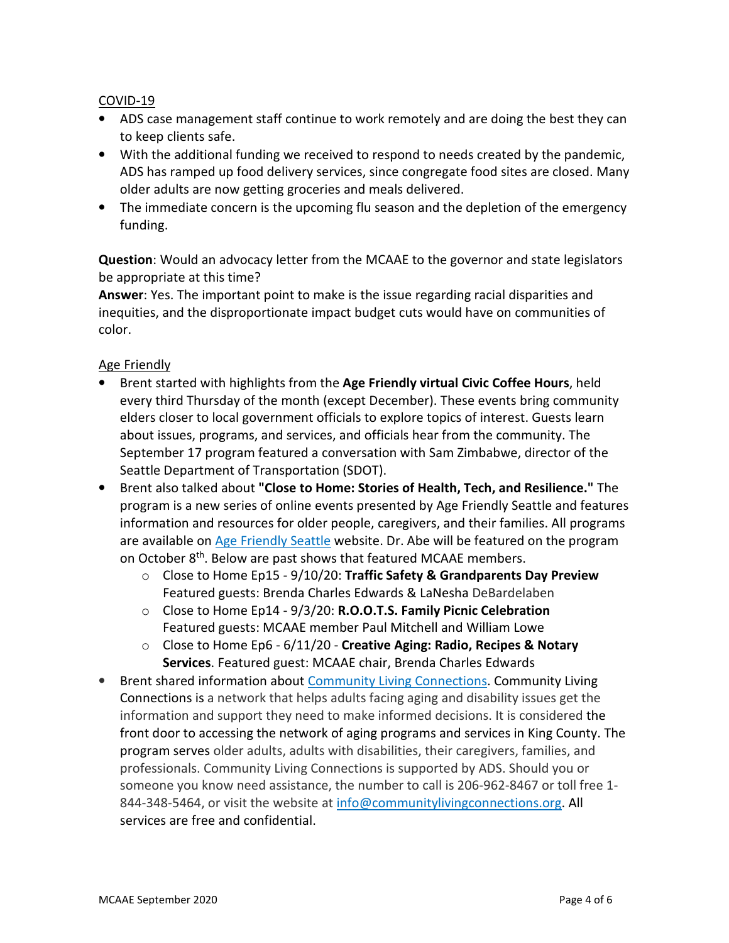## COVID-19

- ADS case management staff continue to work remotely and are doing the best they can to keep clients safe.
- With the additional funding we received to respond to needs created by the pandemic, ADS has ramped up food delivery services, since congregate food sites are closed. Many older adults are now getting groceries and meals delivered.
- The immediate concern is the upcoming flu season and the depletion of the emergency funding.

Question: Would an advocacy letter from the MCAAE to the governor and state legislators be appropriate at this time?

Answer: Yes. The important point to make is the issue regarding racial disparities and inequities, and the disproportionate impact budget cuts would have on communities of color.

## Age Friendly

- Brent started with highlights from the Age Friendly virtual Civic Coffee Hours, held every third Thursday of the month (except December). These events bring community elders closer to local government officials to explore topics of interest. Guests learn about issues, programs, and services, and officials hear from the community. The September 17 program featured a conversation with Sam Zimbabwe, director of the Seattle Department of Transportation (SDOT).
- Brent also talked about "Close to Home: Stories of Health, Tech, and Resilience." The program is a new series of online events presented by Age Friendly Seattle and features information and resources for older people, caregivers, and their families. All programs are available on Age Friendly Seattle website. Dr. Abe will be featured on the program on October 8<sup>th</sup>. Below are past shows that featured MCAAE members.
	- $\circ$  Close to Home Ep15 9/10/20: Traffic Safety & Grandparents Day Preview Featured guests: Brenda Charles Edwards & LaNesha DeBardelaben
	- o Close to Home Ep14 9/3/20: R.O.O.T.S. Family Picnic Celebration Featured guests: MCAAE member Paul Mitchell and William Lowe
	- $\circ$  Close to Home Ep6 6/11/20 Creative Aging: Radio, Recipes & Notary Services. Featured guest: MCAAE chair, Brenda Charles Edwards
- Brent shared information about Community Living Connections. Community Living Connections is a network that helps adults facing aging and disability issues get the information and support they need to make informed decisions. It is considered the front door to accessing the network of aging programs and services in King County. The program serves older adults, adults with disabilities, their caregivers, families, and professionals. Community Living Connections is supported by ADS. Should you or someone you know need assistance, the number to call is 206-962-8467 or toll free 1- 844-348-5464, or visit the website at info@communitylivingconnections.org. All services are free and confidential.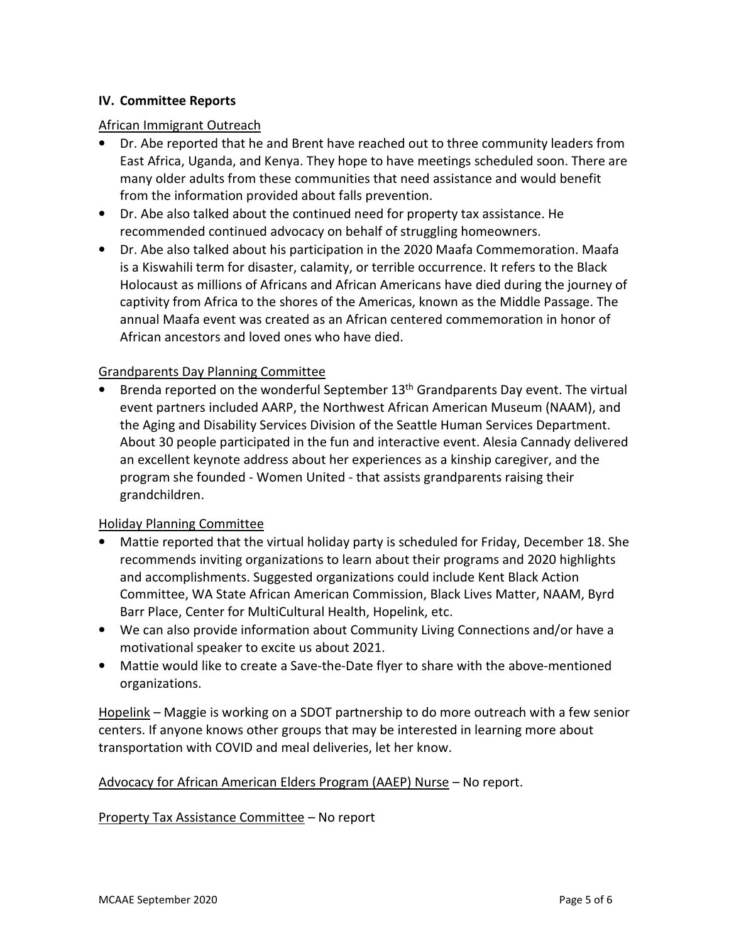## IV. Committee Reports

#### African Immigrant Outreach

- Dr. Abe reported that he and Brent have reached out to three community leaders from East Africa, Uganda, and Kenya. They hope to have meetings scheduled soon. There are many older adults from these communities that need assistance and would benefit from the information provided about falls prevention.
- Dr. Abe also talked about the continued need for property tax assistance. He recommended continued advocacy on behalf of struggling homeowners.
- Dr. Abe also talked about his participation in the 2020 Maafa Commemoration. Maafa is a Kiswahili term for disaster, calamity, or terrible occurrence. It refers to the Black Holocaust as millions of Africans and African Americans have died during the journey of captivity from Africa to the shores of the Americas, known as the Middle Passage. The annual Maafa event was created as an African centered commemoration in honor of African ancestors and loved ones who have died.

#### Grandparents Day Planning Committee

• Brenda reported on the wonderful September  $13<sup>th</sup>$  Grandparents Day event. The virtual event partners included AARP, the Northwest African American Museum (NAAM), and the Aging and Disability Services Division of the Seattle Human Services Department. About 30 people participated in the fun and interactive event. Alesia Cannady delivered an excellent keynote address about her experiences as a kinship caregiver, and the program she founded - Women United - that assists grandparents raising their grandchildren.

#### Holiday Planning Committee

- Mattie reported that the virtual holiday party is scheduled for Friday, December 18. She recommends inviting organizations to learn about their programs and 2020 highlights and accomplishments. Suggested organizations could include Kent Black Action Committee, WA State African American Commission, Black Lives Matter, NAAM, Byrd Barr Place, Center for MultiCultural Health, Hopelink, etc.
- We can also provide information about Community Living Connections and/or have a motivational speaker to excite us about 2021.
- Mattie would like to create a Save-the-Date flyer to share with the above-mentioned organizations.

Hopelink – Maggie is working on a SDOT partnership to do more outreach with a few senior centers. If anyone knows other groups that may be interested in learning more about transportation with COVID and meal deliveries, let her know.

#### Advocacy for African American Elders Program (AAEP) Nurse – No report.

#### Property Tax Assistance Committee – No report